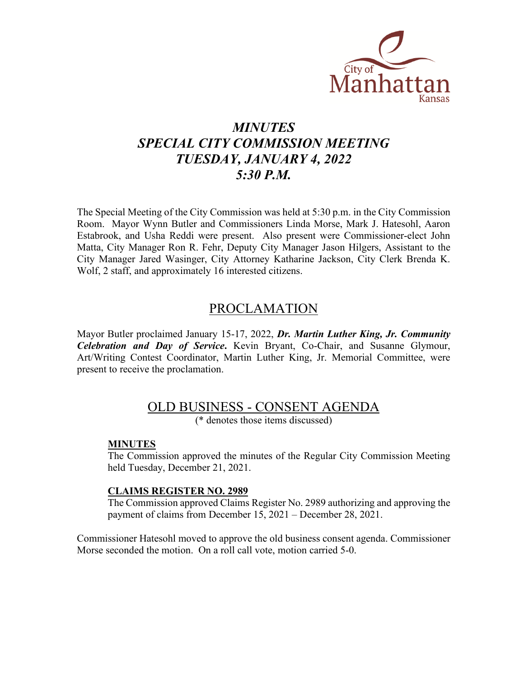

# *MINUTES SPECIAL CITY COMMISSION MEETING TUESDAY, JANUARY 4, 2022 5:30 P.M.*

The Special Meeting of the City Commission was held at 5:30 p.m. in the City Commission Room. Mayor Wynn Butler and Commissioners Linda Morse, Mark J. Hatesohl, Aaron Estabrook, and Usha Reddi were present. Also present were Commissioner-elect John Matta, City Manager Ron R. Fehr, Deputy City Manager Jason Hilgers, Assistant to the City Manager Jared Wasinger, City Attorney Katharine Jackson, City Clerk Brenda K. Wolf, 2 staff, and approximately 16 interested citizens.

### PROCLAMATION

Mayor Butler proclaimed January 15-17, 2022, *Dr. Martin Luther King, Jr. Community Celebration and Day of Service***.** Kevin Bryant, Co-Chair, and Susanne Glymour, Art/Writing Contest Coordinator, Martin Luther King, Jr. Memorial Committee, were present to receive the proclamation.

## OLD BUSINESS - CONSENT AGENDA

(\* denotes those items discussed)

#### **MINUTES**

The Commission approved the minutes of the Regular City Commission Meeting held Tuesday, December 21, 2021.

#### **CLAIMS REGISTER NO. 2989**

The Commission approved Claims Register No. 2989 authorizing and approving the payment of claims from December 15, 2021 – December 28, 2021.

Commissioner Hatesohl moved to approve the old business consent agenda. Commissioner Morse seconded the motion. On a roll call vote, motion carried 5-0.